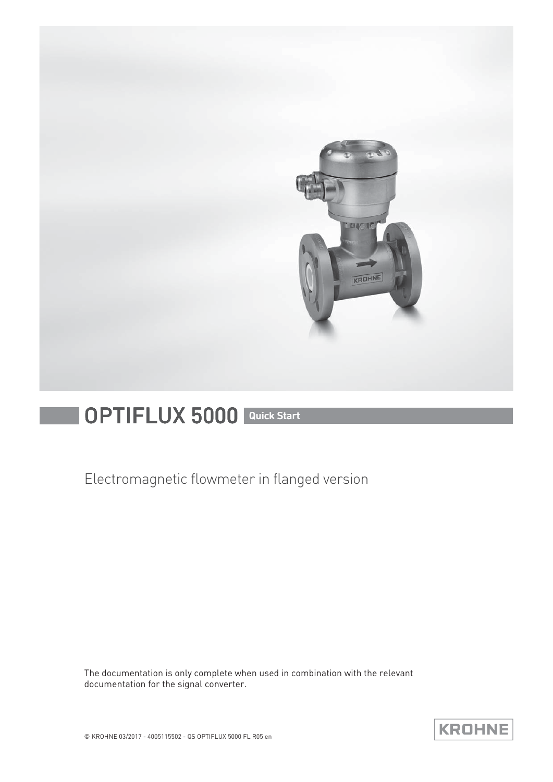

# OPTIFLUX 5000 Quick Start

Electromagnetic flowmeter in flanged version

The documentation is only complete when used in combination with the relevant documentation for the signal converter.

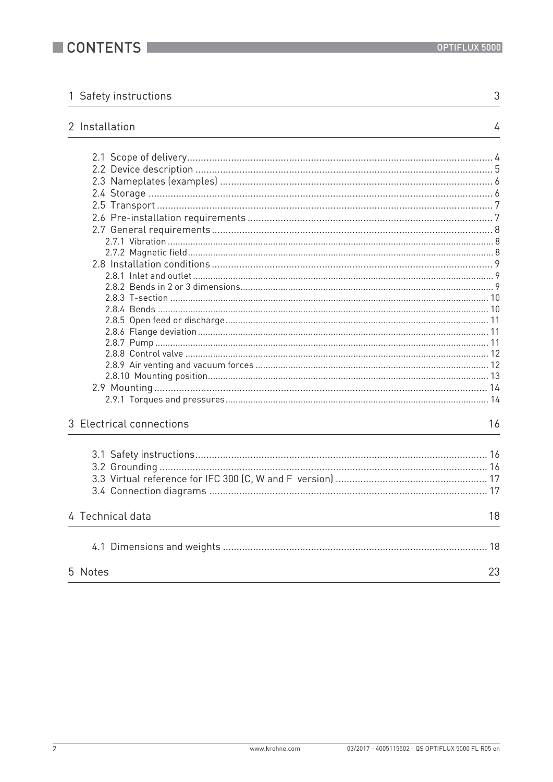$\sqrt{3}$  $\overline{\phantom{0}}$ 

 $\overline{4}$ 

|  |  | 1 Safety instructions |
|--|--|-----------------------|
|--|--|-----------------------|

### 2 Installation

| 3 Electrical connections | 16 |
|--------------------------|----|
|                          |    |
|                          |    |
|                          |    |
|                          |    |
|                          |    |
| 4 Technical data         | 18 |
|                          |    |
| 5 Notes                  | 23 |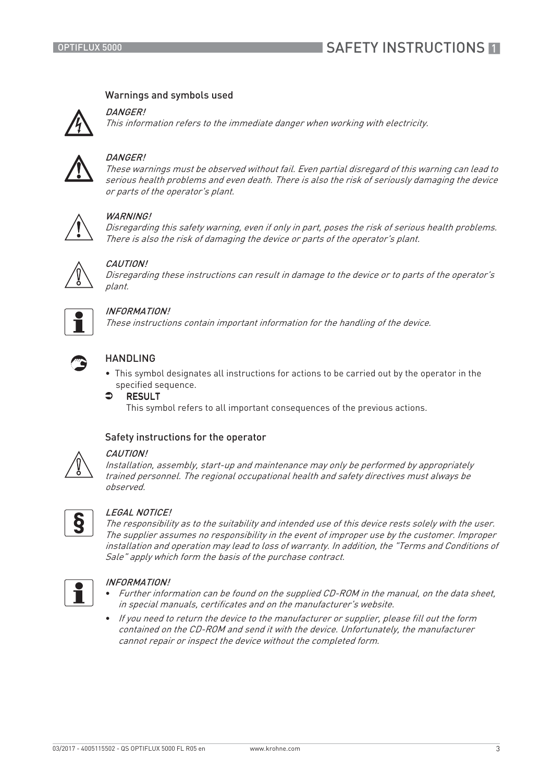### Warnings and symbols used

DANGER!

This information refers to the immediate danger when working with electricity.



### **DANGER!**

These warnings must be observed without fail. Even partial disregard of this warning can lead to serious health problems and even death. There is also the risk of seriously damaging the device or parts of the operator's plant.



### WARNING!

Disregarding this safety warning, even if only in part, poses the risk of serious health problems. There is also the risk of damaging the device or parts of the operator's plant.



### CAUTION!

Disregarding these instructions can result in damage to the device or to parts of the operator's plant.



### INFORMATION!

These instructions contain important information for the handling of the device.



### HANDLING

- This symbol designates all instructions for actions to be carried out by the operator in the specified sequence.
- $\bullet$  RESULT

This symbol refers to all important consequences of the previous actions.

### Safety instructions for the operator



#### CAUTION!

Installation, assembly, start-up and maintenance may only be performed by appropriately trained personnel. The regional occupational health and safety directives must always be observed.



#### LEGAL NOTICE!

The responsibility as to the suitability and intended use of this device rests solely with the user. The supplier assumes no responsibility in the event of improper use by the customer. Improper installation and operation may lead to loss of warranty. In addition, the "Terms and Conditions of Sale" apply which form the basis of the purchase contract.



### INFORMATION!

- Further information can be found on the supplied CD-ROM in the manual, on the data sheet, in special manuals, certificates and on the manufacturer's website.
- If you need to return the device to the manufacturer or supplier, please fill out the form contained on the CD-ROM and send it with the device. Unfortunately, the manufacturer cannot repair or inspect the device without the completed form.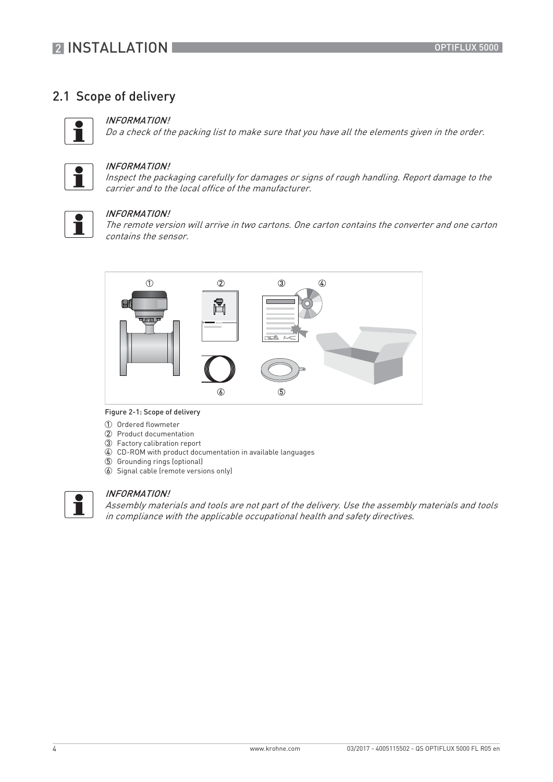## **2 INSTALLATION**

### 2.1 Scope of delivery



### INFORMATION!

Do a check of the packing list to make sure that you have all the elements given in the order.



#### INFORMATION!

Inspect the packaging carefully for damages or signs of rough handling. Report damage to the carrier and to the local office of the manufacturer.



#### INFORMATION!

The remote version will arrive in two cartons. One carton contains the converter and one carton contains the sensor.



#### Figure 2-1: Scope of delivery

- 1 Ordered flowmeter
- 2 Product documentation
- 3 Factory calibration report
- 4 CD-ROM with product documentation in available languages
- 5 Grounding rings (optional)
- 6 Signal cable (remote versions only)



### INFORMATION!

Assembly materials and tools are not part of the delivery. Use the assembly materials and tools in compliance with the applicable occupational health and safety directives.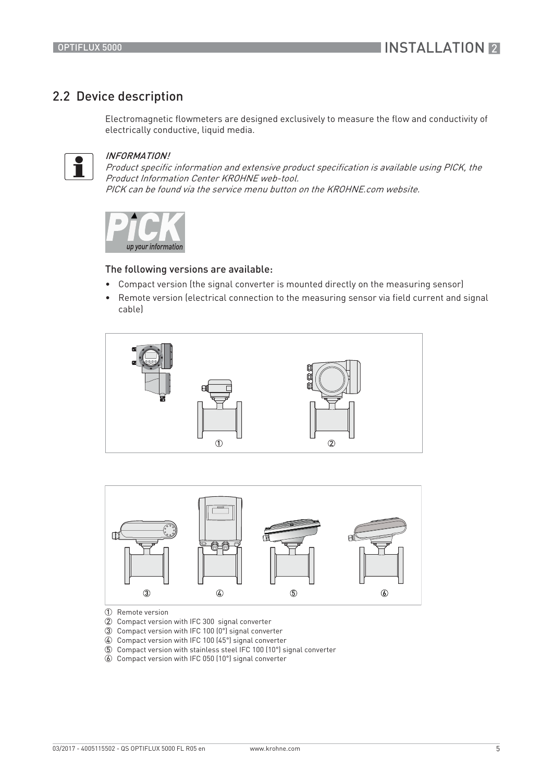### 2.2 Device description

Electromagnetic flowmeters are designed exclusively to measure the flow and conductivity of electrically conductive, liquid media.



#### INFORMATION!

Product specific information and extensive product specification is available using PICK, the Product Information Center KROHNE web-tool. PICK can be found via the service menu button on the KROHNE.com website.



#### The following versions are available:

- Compact version (the signal converter is mounted directly on the measuring sensor)
- Remote version (electrical connection to the measuring sensor via field current and signal cable)





1 Remote version

- 2 Compact version with IFC 300 signal converter
- 3 Compact version with IFC 100 (0°) signal converter
- 4 Compact version with IFC 100 (45°) signal converter
- 5 Compact version with stainless steel IFC 100 (10°) signal converter
- 6 Compact version with IFC 050 (10°) signal converter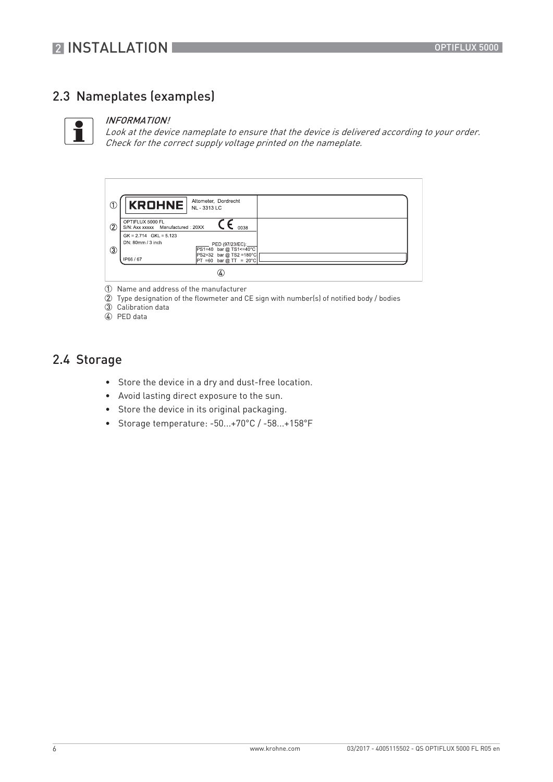## 2.3 Nameplates (examples)



#### INFORMATION!

Look at the device nameplate to ensure that the device is delivered according to your order. Check for the correct supply voltage printed on the nameplate.

|               | <b>KROHNE</b>                                         | Altometer, Dordrecht<br>NL - 3313 LC                 |
|---------------|-------------------------------------------------------|------------------------------------------------------|
| $\circled{2}$ | OPTIFLUX 5000 FL<br>S/N: Axx xxxxx Manufactured: 20XX | 0038                                                 |
|               | $GK = 2.714$ $GKL = 5.123$<br>DN: 80mm / 3 inch       | PED (97/23/EC):<br>PS1=40 bar @ TS1<=40°C            |
| 3             | IP66/67                                               | PS2=32 bar @ TS2 =180°C<br>$PT = 60$ bar @ TT = 20°C |
|               |                                                       | 4.                                                   |

- 1 Name and address of the manufacturer
- 2 Type designation of the flowmeter and CE sign with number(s) of notified body / bodies
- 3 Calibration data
- 4 PED data

### 2.4 Storage

- Store the device in a dry and dust-free location.
- Avoid lasting direct exposure to the sun.
- Store the device in its original packaging.
- Storage temperature: -50...+70°C / -58...+158°F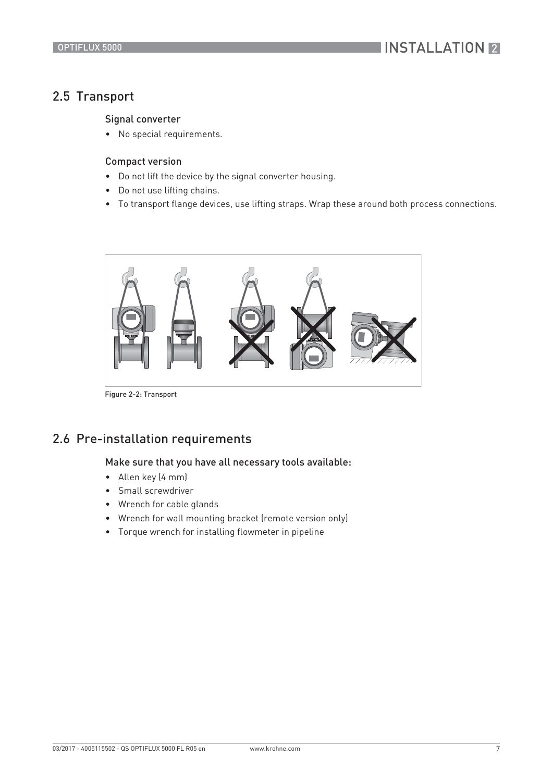## **INSTALLATION 2**

### 2.5 Transport

### Signal converter

• No special requirements.

### Compact version

- Do not lift the device by the signal converter housing.
- Do not use lifting chains.
- To transport flange devices, use lifting straps. Wrap these around both process connections.



Figure 2-2: Transport

### 2.6 Pre-installation requirements

### Make sure that you have all necessary tools available:

- Allen key (4 mm)
- Small screwdriver
- Wrench for cable glands
- Wrench for wall mounting bracket (remote version only)
- Torque wrench for installing flowmeter in pipeline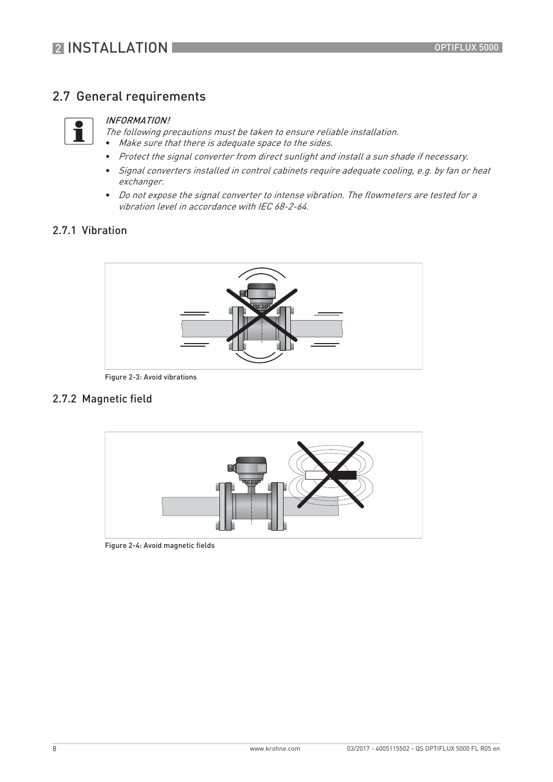### 2.7 General requirements



#### INFORMATION!

The following precautions must be taken to ensure reliable installation. • Make sure that there is adequate space to the sides.

- Protect the signal converter from direct sunlight and install a sun shade if necessary.
- Signal converters installed in control cabinets require adequate cooling, e.g. by fan or heat exchanger.
- Do not expose the signal converter to intense vibration. The flowmeters are tested for a vibration level in accordance with IEC 68-2-64.

### 2.7.1 Vibration



Figure 2-3: Avoid vibrations

### 2.7.2 Magnetic field



Figure 2-4: Avoid magnetic fields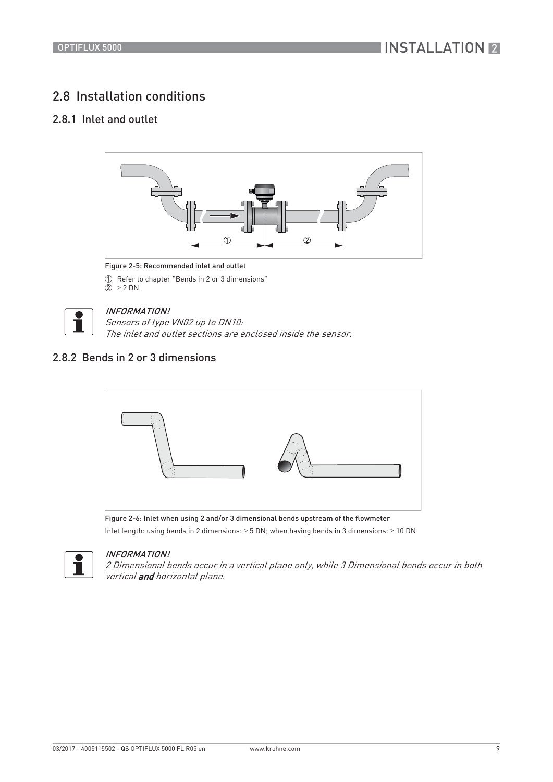### 2.8 Installation conditions

### 2.8.1 Inlet and outlet



#### Figure 2-5: Recommended inlet and outlet

1 Refer to chapter "Bends in 2 or 3 dimensions"  $2 \geq 2 DN$ 



### INFORMATION!

Sensors of type VN02 up to DN10: The inlet and outlet sections are enclosed inside the sensor.

### 2.8.2 Bends in 2 or 3 dimensions



Figure 2-6: Inlet when using 2 and/or 3 dimensional bends upstream of the flowmeter Inlet length: using bends in 2 dimensions:  $\geq 5$  DN; when having bends in 3 dimensions:  $\geq 10$  DN



### INFORMATION!

2 Dimensional bends occur in a vertical plane only, while 3 Dimensional bends occur in both vertical and horizontal plane.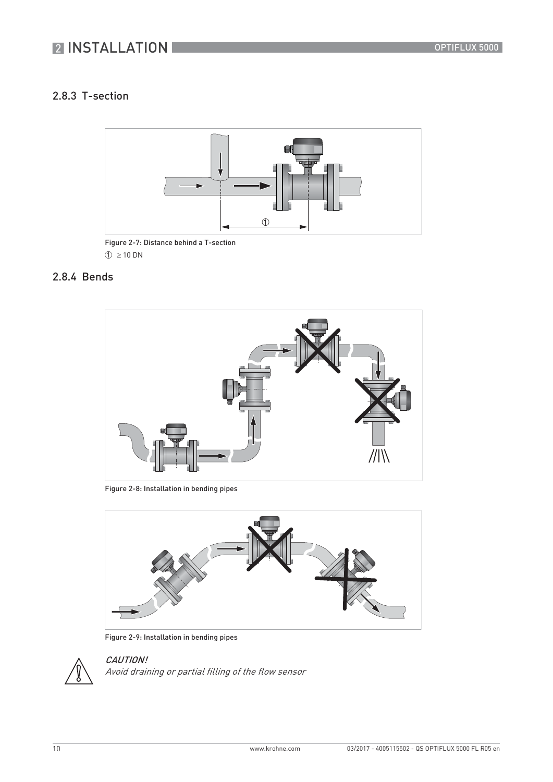### 2.8.3 T-section



Figure 2-7: Distance behind a T-section  $\textcircled{1} \geq 10 \text{ DN}$ 

### 2.8.4 Bends



Figure 2-8: Installation in bending pipes



Figure 2-9: Installation in bending pipes



CAUTION! Avoid draining or partial filling of the flow sensor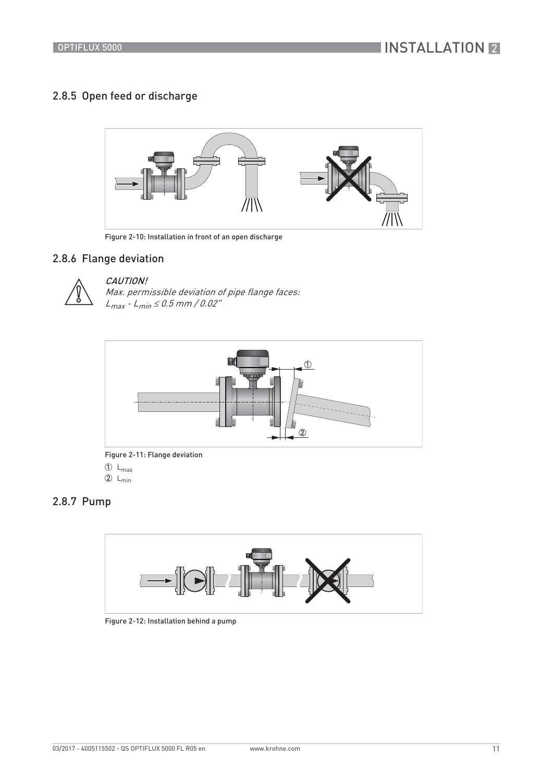### 2.8.5 Open feed or discharge



Figure 2-10: Installation in front of an open discharge

### 2.8.6 Flange deviation



### CAUTION!

Max. permissible deviation of pipe flange faces:  $L_{max} - L_{min} \le 0.5$  mm / 0.02"



Figure 2-11: Flange deviation

### $\mathbb{O}$  L<sub>max</sub>

 $2 L_{min}$ 

### 2.8.7 Pump



Figure 2-12: Installation behind a pump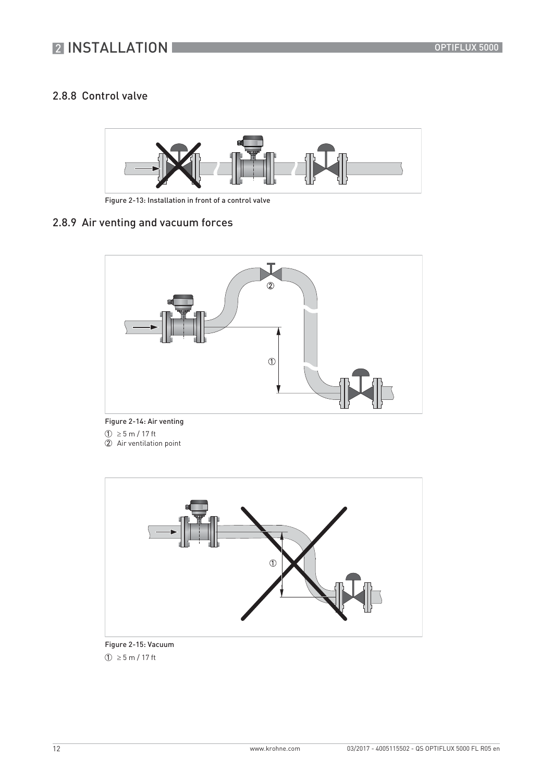### 2.8.8 Control valve



Figure 2-13: Installation in front of a control valve

### 2.8.9 Air venting and vacuum forces



Figure 2-14: Air venting  $\textcircled{1} \geq$  5 m / 17 ft 2 Air ventilation point



Figure 2-15: Vacuum  $(1) \ge 5$  m / 17 ft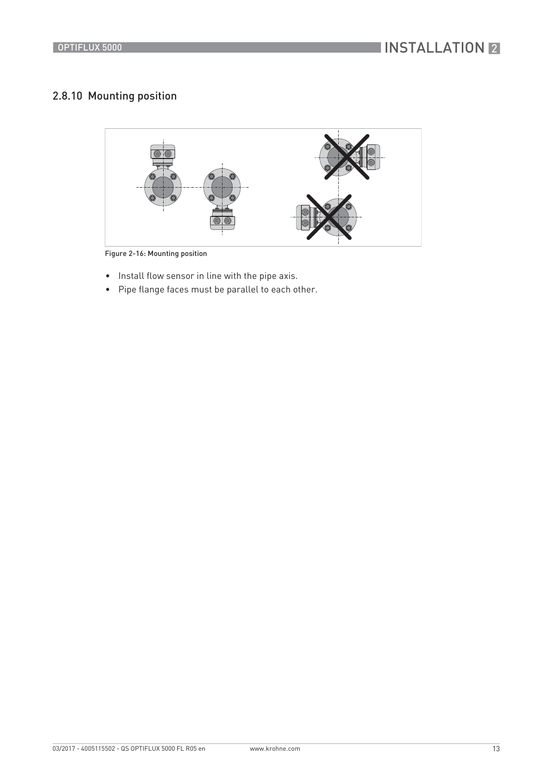### 2.8.10 Mounting position



Figure 2-16: Mounting position

- Install flow sensor in line with the pipe axis.
- Pipe flange faces must be parallel to each other.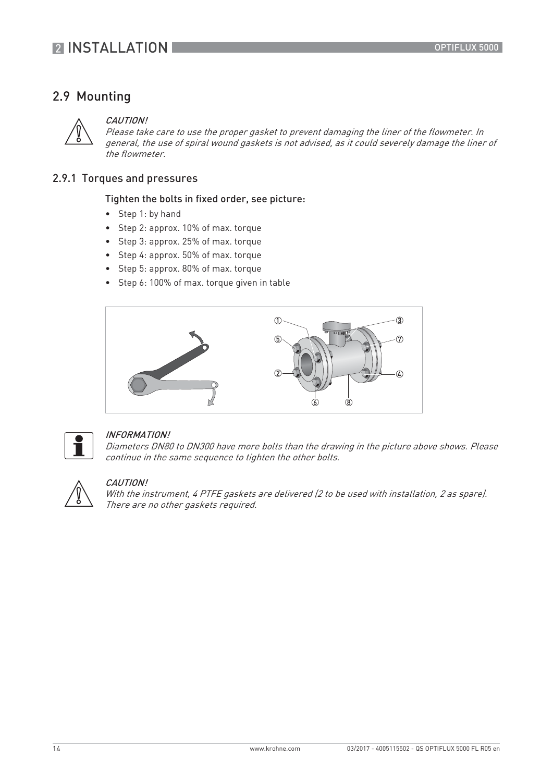### 2.9 Mounting



#### CAUTION!

Please take care to use the proper gasket to prevent damaging the liner of the flowmeter. In general, the use of spiral wound gaskets is not advised, as it could severely damage the liner of the flowmeter.

### 2.9.1 Torques and pressures

#### Tighten the bolts in fixed order, see picture:

- Step 1: by hand
- Step 2: approx. 10% of max. torque
- Step 3: approx. 25% of max. torque
- Step 4: approx. 50% of max. torque
- Step 5: approx. 80% of max. torque
- Step 6: 100% of max. torque given in table





#### INFORMATION!

Diameters DN80 to DN300 have more bolts than the drawing in the picture above shows. Please continue in the same sequence to tighten the other bolts.



#### CAUTION!

With the instrument, 4 PTFE gaskets are delivered (2 to be used with installation, 2 as spare). There are no other gaskets required.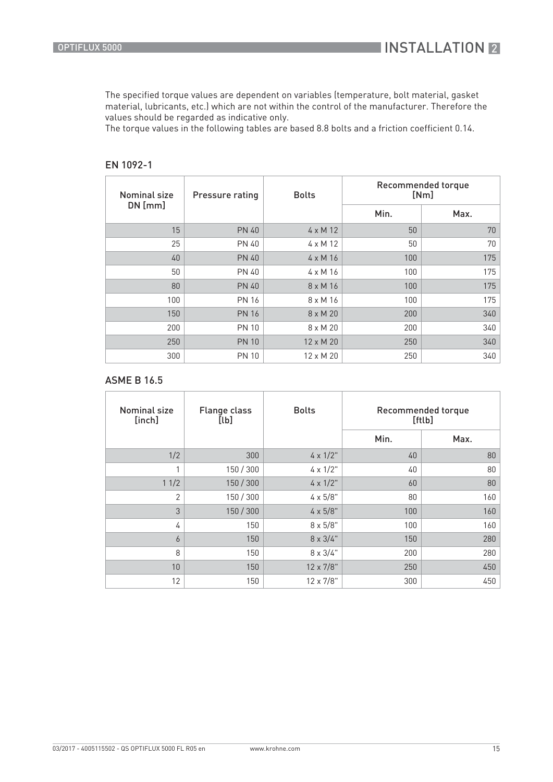The specified torque values are dependent on variables (temperature, bolt material, gasket material, lubricants, etc.) which are not within the control of the manufacturer. Therefore the values should be regarded as indicative only.

The torque values in the following tables are based 8.8 bolts and a friction coefficient 0.14.

| <b>Nominal size</b> | <b>Pressure rating</b> | <b>Bolts</b>     | Recommended torque<br>[Nm] |      |  |  |  |  |  |
|---------------------|------------------------|------------------|----------------------------|------|--|--|--|--|--|
| $DN$ [mm]           |                        |                  | Min.                       | Max. |  |  |  |  |  |
| 15                  | <b>PN 40</b>           | $4 \times M$ 12  | 50                         | 70   |  |  |  |  |  |
| 25                  | <b>PN 40</b>           | $4 \times M$ 12  | 50                         | 70   |  |  |  |  |  |
| 40                  | <b>PN 40</b>           | $4 \times M16$   | 100                        | 175  |  |  |  |  |  |
| 50                  | <b>PN 40</b>           | $4 \times M$ 16  | 100                        | 175  |  |  |  |  |  |
| 80                  | <b>PN 40</b>           | $8 \times M16$   | 100                        | 175  |  |  |  |  |  |
| 100                 | <b>PN 16</b>           | $8 \times M16$   | 100                        | 175  |  |  |  |  |  |
| 150                 | <b>PN 16</b>           | $8 \times M$ 20  | 200                        | 340  |  |  |  |  |  |
| 200                 | <b>PN 10</b>           | $8 \times M$ 20  | 200                        | 340  |  |  |  |  |  |
| 250                 | <b>PN 10</b>           | $12 \times M$ 20 | 250                        | 340  |  |  |  |  |  |
| 300                 | <b>PN 10</b>           | $12 \times M$ 20 | 250                        | 340  |  |  |  |  |  |

### EN 1092-1

### ASME B 16.5

| <b>Nominal size</b><br>[inch] | <b>Flange class</b><br>[lb] | <b>Bolts</b>      | Recommended torque<br>[ftlb] |      |  |  |  |  |  |
|-------------------------------|-----------------------------|-------------------|------------------------------|------|--|--|--|--|--|
|                               |                             |                   | Min.                         | Max. |  |  |  |  |  |
| 1/2                           | 300                         | $4 \times 1/2$ "  | 40                           | 80   |  |  |  |  |  |
|                               | 150 / 300                   | $4 \times 1/2$ "  | 40                           | 80   |  |  |  |  |  |
| 11/2                          | 150 / 300                   | $4 \times 1/2$ "  | 60                           | 80   |  |  |  |  |  |
| $\overline{2}$                | 150 / 300                   | $4 \times 5/8"$   | 80                           | 160  |  |  |  |  |  |
| 3                             | 150 / 300                   | $4 \times 5/8"$   | 100                          | 160  |  |  |  |  |  |
| 4                             | 150                         | $8 \times 5/8"$   | 100                          | 160  |  |  |  |  |  |
| 6                             | 150                         | $8 \times 3/4$ "  | 150                          | 280  |  |  |  |  |  |
| 8                             | 150                         | $8 \times 3/4$ "  | 200                          | 280  |  |  |  |  |  |
| 10                            | 150                         | $12 \times 7/8$ " | 250                          | 450  |  |  |  |  |  |
| 12                            | 150                         | $12 \times 7/8$ " | 300                          | 450  |  |  |  |  |  |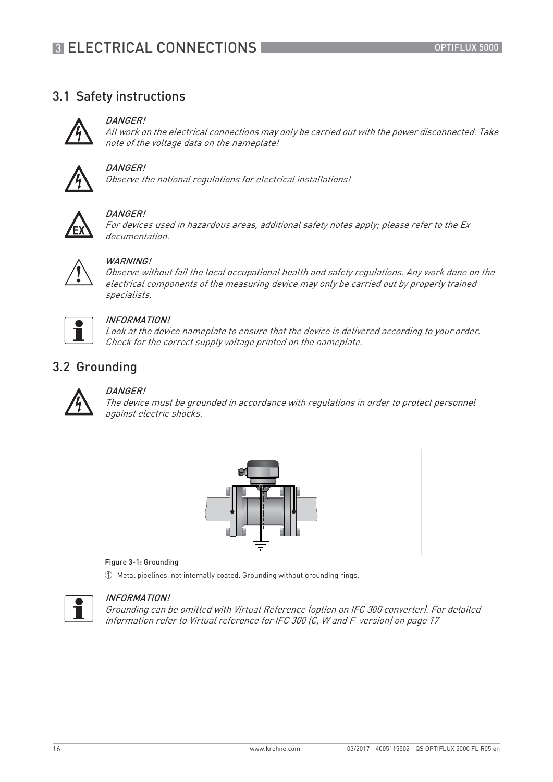### 3.1 Safety instructions



### DANGER!

All work on the electrical connections may only be carried out with the power disconnected. Take note of the voltage data on the nameplate!



### DANGER!

Observe the national regulations for electrical installations!



#### DANGER!

For devices used in hazardous areas, additional safety notes apply; please refer to the Ex documentation.

### **WARNING!**

Observe without fail the local occupational health and safety regulations. Any work done on the electrical components of the measuring device may only be carried out by properly trained specialists.



#### INFORMATION!

Look at the device nameplate to ensure that the device is delivered according to your order. Check for the correct supply voltage printed on the nameplate.

### 3.2 Grounding



### DANGER!

The device must be grounded in accordance with regulations in order to protect personnel against electric shocks.



#### Figure 3-1: Grounding

1 Metal pipelines, not internally coated. Grounding without grounding rings.



### INFORMATION!

Grounding can be omitted with Virtual Reference (option on IFC 300 converter). For detailed information refer to Virtual reference for IFC 300 (C, W and F version) on page 17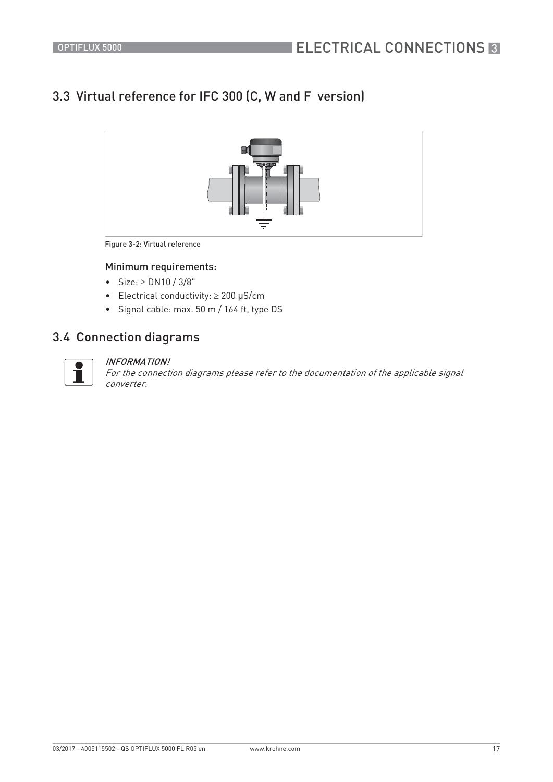## 3.3 Virtual reference for IFC 300 (C, W and F version)



Figure 3-2: Virtual reference

### Minimum requirements:

- Size:  $\ge$  DN10 / 3/8"
- Electrical conductivity:  $\geq 200$  µS/cm
- Signal cable: max. 50 m / 164 ft, type DS

### 3.4 Connection diagrams



#### INFORMATION!

For the connection diagrams please refer to the documentation of the applicable signal converter.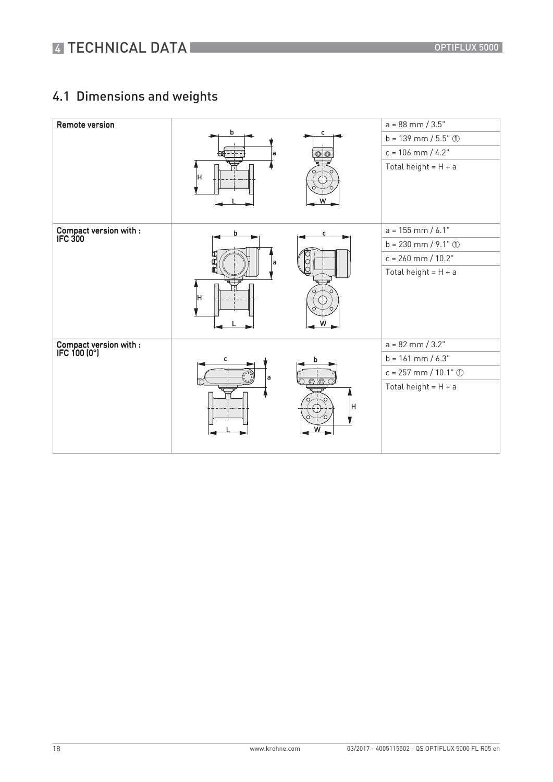## 4.1 Dimensions and weights

| <b>Remote version</b>                  |         |        | $a = 88$ mm $/ 3.5"$   |
|----------------------------------------|---------|--------|------------------------|
|                                        | b       | с      | $b = 139$ mm / 5.5" ①  |
|                                        | a       |        | $c = 106$ mm $/ 4.2$ " |
|                                        | lн      |        | Total height = $H + a$ |
| Compact version with :<br>IFC 300      | b       | c      | $a = 155$ mm / 6.1"    |
|                                        |         |        | $b = 230$ mm / 9.1" ①  |
|                                        | 血<br>۱a |        | $c = 260$ mm / $10.2"$ |
|                                        | lн      |        | Total height = $H + a$ |
| Compact version with :<br>IFC 100 (0°) |         |        | $a = 82$ mm / 3.2"     |
|                                        | с       | b      | $b = 161$ mm $/ 6.3"$  |
|                                        | a       |        | $c = 257$ mm / 10.1" ① |
|                                        |         | H<br>w | Total height = $H + a$ |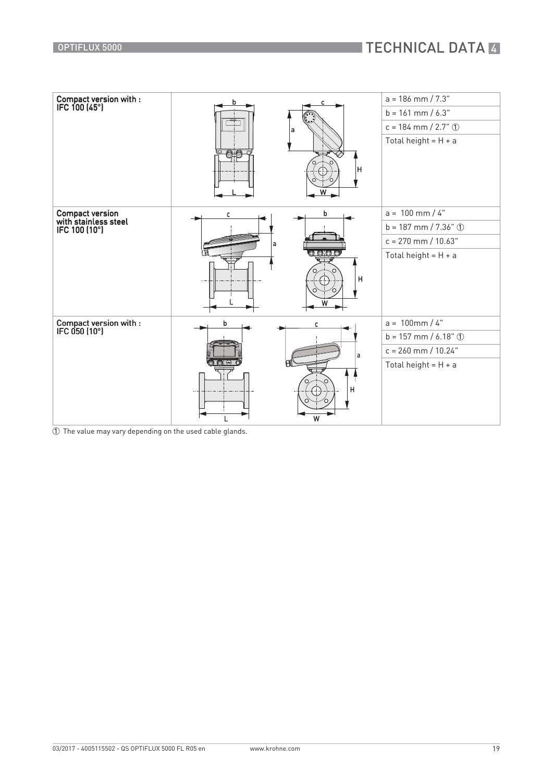

1 The value may vary depending on the used cable glands.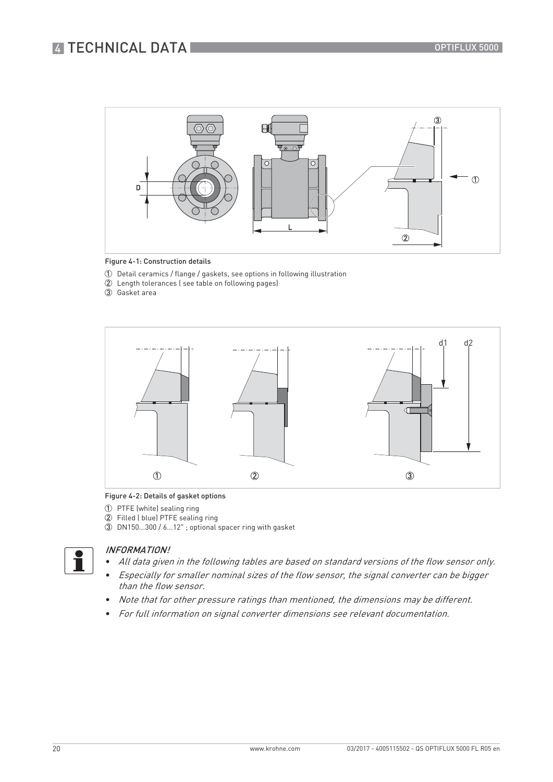## **4 TECHNICAL DATA**



#### Figure 4-1: Construction details

- 1 Detail ceramics / flange / gaskets, see options in following illustration
- 2 Length tolerances ( see table on following pages)
- 3 Gasket area



#### Figure 4-2: Details of gasket options

- 1 PTFE (white) sealing ring
- 2 Filled ( blue) PTFE sealing ring
- 3 DN150...300 / 6...12" ; optional spacer ring with gasket



#### INFORMATION!

- All data given in the following tables are based on standard versions of the flow sensor only.
- Especially for smaller nominal sizes of the flow sensor, the signal converter can be bigger than the flow sensor.
- Note that for other pressure ratings than mentioned, the dimensions may be different.
- For full information on signal converter dimensions see relevant documentation.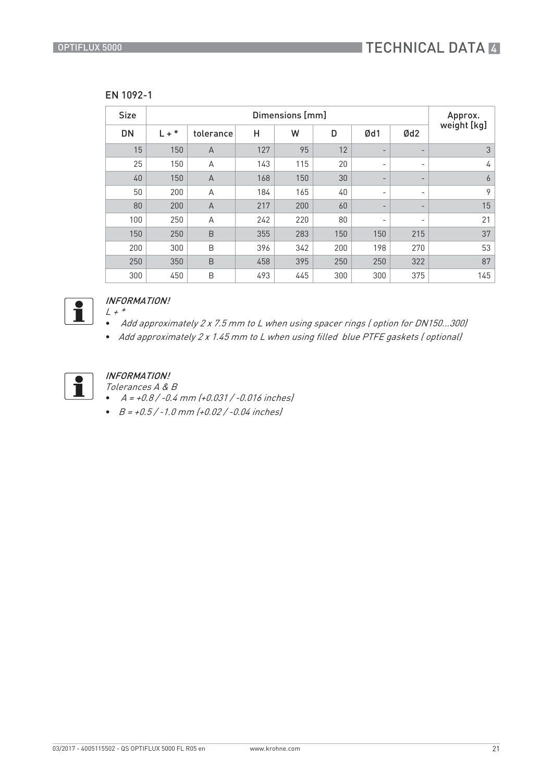| V. | 092<br>L |
|----|----------|
|----|----------|

| <b>Size</b> |            | Approx.        |     |     |     |                          |                          |             |
|-------------|------------|----------------|-----|-----|-----|--------------------------|--------------------------|-------------|
| <b>DN</b>   | ∗<br>$L +$ | tolerance      | Н   | W   | D   | Ød1                      | Ød2                      | weight [kg] |
| 15          | 150        | $\overline{A}$ | 127 | 95  | 12  | $\overline{\phantom{0}}$ | $\overline{\phantom{a}}$ | 3           |
| 25          | 150        | A              | 143 | 115 | 20  | $\overline{\phantom{a}}$ | $\overline{\phantom{a}}$ | 4           |
| 40          | 150        | $\overline{A}$ | 168 | 150 | 30  | $\overline{\phantom{a}}$ | $\overline{\phantom{a}}$ | 6           |
| 50          | 200        | A              | 184 | 165 | 40  | $\overline{\phantom{a}}$ | $\overline{\phantom{a}}$ | 9           |
| 80          | 200        | $\overline{A}$ | 217 | 200 | 60  | $\overline{\phantom{a}}$ | $\overline{\phantom{a}}$ | 15          |
| 100         | 250        | A              | 242 | 220 | 80  | $\overline{\phantom{a}}$ | $\overline{\phantom{a}}$ | 21          |
| 150         | 250        | B              | 355 | 283 | 150 | 150                      | 215                      | 37          |
| 200         | 300        | B              | 396 | 342 | 200 | 198                      | 270                      | 53          |
| 250         | 350        | B              | 458 | 395 | 250 | 250                      | 322                      | 87          |
| 300         | 450        | B              | 493 | 445 | 300 | 300                      | 375                      | 145         |



#### INFORMATION!  $L$  +  $^\ast$

- Add approximately 2 x 7.5 mm to L when using spacer rings ( option for DN150...300)
- Add approximately 2 x 1.45 mm to L when using filled blue PTFE gaskets ( optional)



### INFORMATION!

Tolerances A & B

- $A = +0.8 / -0.4$  mm  $(+0.031 / -0.016$  inches
- $B = +0.5 / -1.0$  mm  $(+0.02 / -0.04$  inches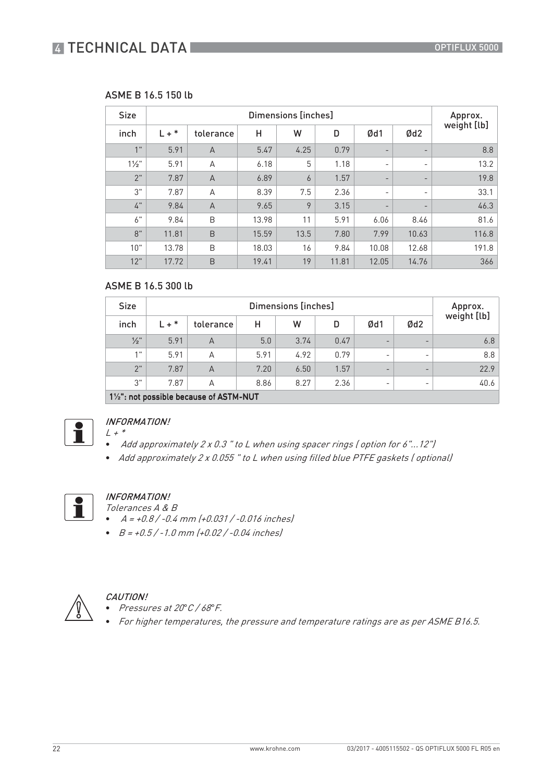## **4 TECHNICAL DATA**

### ASME B 16.5 150 lb

| <b>Size</b>      |         | Approx.        |       |                |       |                          |                          |             |
|------------------|---------|----------------|-------|----------------|-------|--------------------------|--------------------------|-------------|
| inch             | $L + *$ | tolerance      | н     | W              | D     | Ød1                      | Ød2                      | weight [lb] |
| 1 <sup>11</sup>  | 5.91    | $\overline{A}$ | 5.47  | 4.25           | 0.79  | $\overline{\phantom{a}}$ | -                        | 8.8         |
| $1\frac{1}{2}$ " | 5.91    | A              | 6.18  | 5              | 1.18  | $\overline{\phantom{a}}$ | $\overline{\phantom{a}}$ | 13.2        |
| 2"               | 7.87    | $\overline{A}$ | 6.89  | $\overline{6}$ | 1.57  | $\overline{\phantom{a}}$ | -                        | 19.8        |
| 3"               | 7.87    | A              | 8.39  | 7.5            | 2.36  | -                        | -                        | 33.1        |
| $4"$             | 9.84    | $\overline{A}$ | 9.65  | 9              | 3.15  | $\overline{\phantom{a}}$ | $\overline{\phantom{a}}$ | 46.3        |
| $6"$             | 9.84    | B              | 13.98 | 11             | 5.91  | 6.06                     | 8.46                     | 81.6        |
| 8"               | 11.81   | B              | 15.59 | 13.5           | 7.80  | 7.99                     | 10.63                    | 116.8       |
| 10"              | 13.78   | B              | 18.03 | 16             | 9.84  | 10.08                    | 12.68                    | 191.8       |
| 12"              | 17.72   | B              | 19.41 | 19             | 11.81 | 12.05                    | 14.76                    | 366         |

### ASME B 16.5 300 lb

| <b>Size</b>     |         |                                                   | Approx. |      |      |                          |                          |             |
|-----------------|---------|---------------------------------------------------|---------|------|------|--------------------------|--------------------------|-------------|
| inch            | $L + *$ | tolerance                                         | н       | W    | D    | Ød1                      | Ød <sub>2</sub>          | weight [lb] |
| $\frac{1}{2}$ " | 5.91    | A                                                 | 5.0     | 3.74 | 0.47 | $\overline{\phantom{0}}$ | $\overline{\phantom{0}}$ | 6.8         |
| 1.11            | 5.91    | А                                                 | 5.91    | 4.92 | 0.79 | $\overline{\phantom{0}}$ | $\overline{\phantom{0}}$ | 8.8         |
| 2"              | 7.87    | A                                                 | 7.20    | 6.50 | 1.57 | -                        | -                        | 22.9        |
| 3"              | 7.87    | А                                                 | 8.86    | 8.27 | 2.36 | $\overline{\phantom{0}}$ |                          | 40.6        |
|                 |         | $1\frac{1}{2}$ : not possible because of ASTM-NUT |         |      |      |                          |                          |             |



#### INFORMATION!  $L + *$

- Add approximately 2 x 0.3 " to L when using spacer rings ( option for 6"...12")
- Add approximately 2 x 0.055 " to L when using filled blue PTFE gaskets ( optional)



### INFORMATION!

Tolerances A & B

- $A = +0.8 / -0.4$  mm  $(+0.031 / -0.016$  inches
- $\bullet$   $B = +0.5 / -1.0$  mm  $(+0.02 / -0.04$  inches



#### CAUTION!

- Pressures at 20*°*C / 68*°*F.
- For higher temperatures, the pressure and temperature ratings are as per ASME B16.5.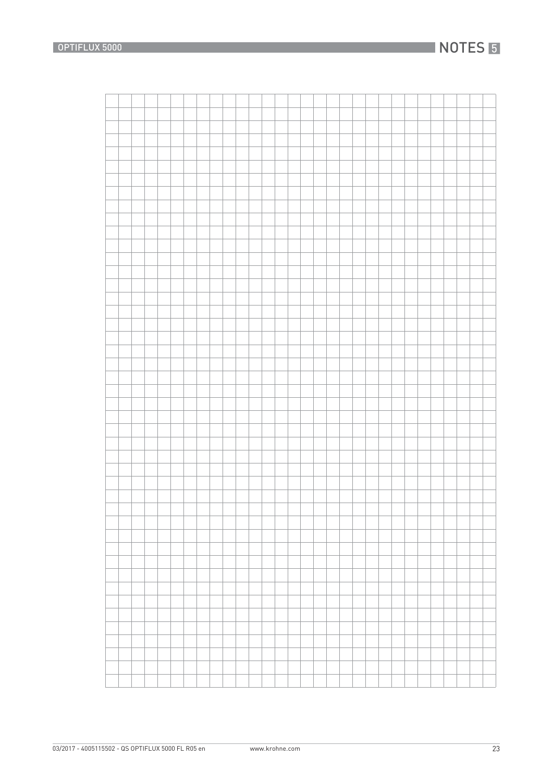## **NOTES 5**